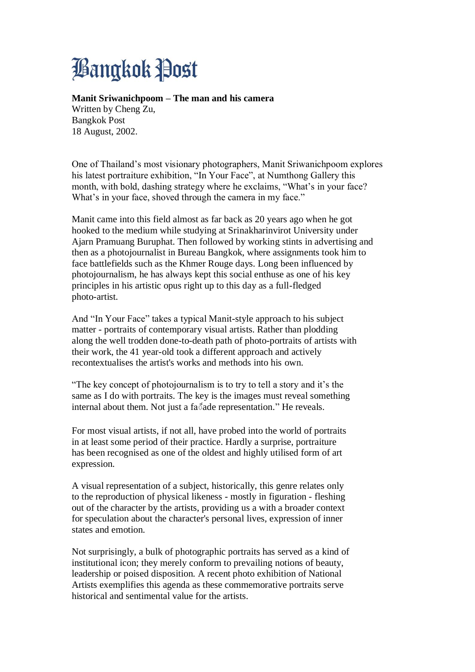## **Bangkok Post**

## **Manit Sriwanichpoom – The man and his camera**

Written by Cheng Zu, Bangkok Post 18 August, 2002.

One of Thailand's most visionary photographers, Manit Sriwanichpoom explores his latest portraiture exhibition, "In Your Face", at Numthong Gallery this month, with bold, dashing strategy where he exclaims, "What's in your face? What's in your face, shoved through the camera in my face."

Manit came into this field almost as far back as 20 years ago when he got hooked to the medium while studying at Srinakharinvirot University under Ajarn Pramuang Buruphat. Then followed by working stints in advertising and then as a photojournalist in Bureau Bangkok, where assignments took him to face battlefields such as the Khmer Rouge days. Long been influenced by photojournalism, he has always kept this social enthuse as one of his key principles in his artistic opus right up to this day as a full-fledged photo-artist.

And "In Your Face" takes a typical Manit-style approach to his subject matter - portraits of contemporary visual artists. Rather than plodding along the well trodden done-to-death path of photo-portraits of artists with their work, the 41 year-old took a different approach and actively recontextualises the artist's works and methods into his own.

"The key concept of photojournalism is to try to tell a story and it's the same as I do with portraits. The key is the images must reveal something internal about them. Not just a fa<sup>®</sup>ade representation." He reveals.

For most visual artists, if not all, have probed into the world of portraits in at least some period of their practice. Hardly a surprise, portraiture has been recognised as one of the oldest and highly utilised form of art expression.

A visual representation of a subject, historically, this genre relates only to the reproduction of physical likeness - mostly in figuration - fleshing out of the character by the artists, providing us a with a broader context for speculation about the character's personal lives, expression of inner states and emotion.

Not surprisingly, a bulk of photographic portraits has served as a kind of institutional icon; they merely conform to prevailing notions of beauty, leadership or poised disposition. A recent photo exhibition of National Artists exemplifies this agenda as these commemorative portraits serve historical and sentimental value for the artists.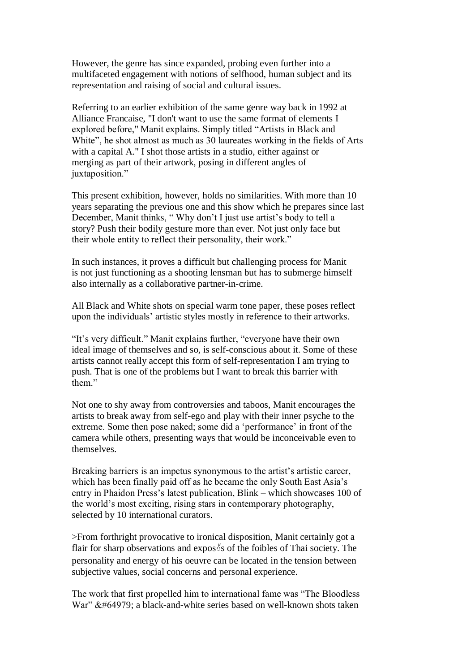However, the genre has since expanded, probing even further into a multifaceted engagement with notions of selfhood, human subject and its representation and raising of social and cultural issues.

Referring to an earlier exhibition of the same genre way back in 1992 at Alliance Francaise, "I don't want to use the same format of elements I explored before," Manit explains. Simply titled "Artists in Black and White", he shot almost as much as 30 laureates working in the fields of Arts with a capital A." I shot those artists in a studio, either against or merging as part of their artwork, posing in different angles of juxtaposition."

This present exhibition, however, holds no similarities. With more than 10 years separating the previous one and this show which he prepares since last December, Manit thinks, " Why don't I just use artist's body to tell a story? Push their bodily gesture more than ever. Not just only face but their whole entity to reflect their personality, their work."

In such instances, it proves a difficult but challenging process for Manit is not just functioning as a shooting lensman but has to submerge himself also internally as a collaborative partner-in-crime.

All Black and White shots on special warm tone paper, these poses reflect upon the individuals' artistic styles mostly in reference to their artworks.

"It's very difficult." Manit explains further, "everyone have their own ideal image of themselves and so, is self-conscious about it. Some of these artists cannot really accept this form of self-representation I am trying to push. That is one of the problems but I want to break this barrier with them"

Not one to shy away from controversies and taboos, Manit encourages the artists to break away from self-ego and play with their inner psyche to the extreme. Some then pose naked; some did a 'performance' in front of the camera while others, presenting ways that would be inconceivable even to themselves.

Breaking barriers is an impetus synonymous to the artist's artistic career, which has been finally paid off as he became the only South East Asia's entry in Phaidon Press's latest publication, Blink – which showcases 100 of the world's most exciting, rising stars in contemporary photography, selected by 10 international curators.

>From forthright provocative to ironical disposition, Manit certainly got a flair for sharp observations and expos็ s of the foibles of Thai society. The personality and energy of his oeuvre can be located in the tension between subjective values, social concerns and personal experience.

The work that first propelled him to international fame was "The Bloodless War"  $\&\#64979$ : a black-and-white series based on well-known shots taken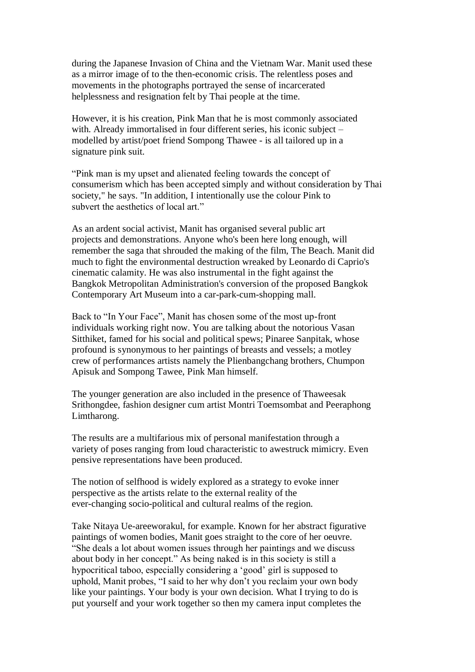during the Japanese Invasion of China and the Vietnam War. Manit used these as a mirror image of to the then-economic crisis. The relentless poses and movements in the photographs portrayed the sense of incarcerated helplessness and resignation felt by Thai people at the time.

However, it is his creation, Pink Man that he is most commonly associated with. Already immortalised in four different series, his iconic subject – modelled by artist/poet friend Sompong Thawee - is all tailored up in a signature pink suit.

"Pink man is my upset and alienated feeling towards the concept of consumerism which has been accepted simply and without consideration by Thai society," he says. "In addition, I intentionally use the colour Pink to subvert the aesthetics of local art."

As an ardent social activist, Manit has organised several public art projects and demonstrations. Anyone who's been here long enough, will remember the saga that shrouded the making of the film, The Beach. Manit did much to fight the environmental destruction wreaked by Leonardo di Caprio's cinematic calamity. He was also instrumental in the fight against the Bangkok Metropolitan Administration's conversion of the proposed Bangkok Contemporary Art Museum into a car-park-cum-shopping mall.

Back to "In Your Face", Manit has chosen some of the most up-front individuals working right now. You are talking about the notorious Vasan Sitthiket, famed for his social and political spews; Pinaree Sanpitak, whose profound is synonymous to her paintings of breasts and vessels; a motley crew of performances artists namely the Plienbangchang brothers, Chumpon Apisuk and Sompong Tawee, Pink Man himself.

The younger generation are also included in the presence of Thaweesak Srithongdee, fashion designer cum artist Montri Toemsombat and Peeraphong Limtharong.

The results are a multifarious mix of personal manifestation through a variety of poses ranging from loud characteristic to awestruck mimicry. Even pensive representations have been produced.

The notion of selfhood is widely explored as a strategy to evoke inner perspective as the artists relate to the external reality of the ever-changing socio-political and cultural realms of the region.

Take Nitaya Ue-areeworakul, for example. Known for her abstract figurative paintings of women bodies, Manit goes straight to the core of her oeuvre. "She deals a lot about women issues through her paintings and we discuss about body in her concept." As being naked is in this society is still a hypocritical taboo, especially considering a 'good' girl is supposed to uphold, Manit probes, "I said to her why don't you reclaim your own body like your paintings. Your body is your own decision. What I trying to do is put yourself and your work together so then my camera input completes the